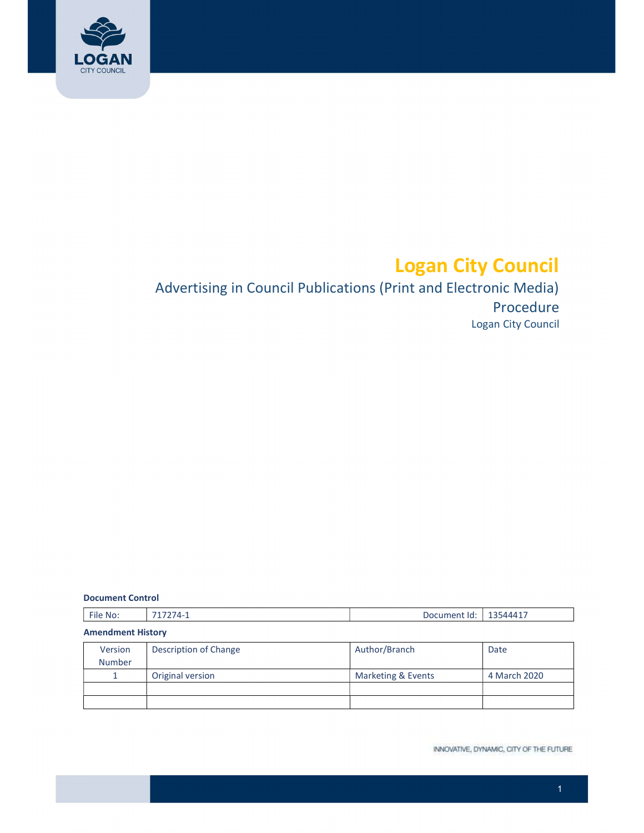

# Logan City Council

# Logan City Council Advertising in Council Publications (Print and Electronic Media) Procedure

#### Document Control

| $-$<br>٠IIF<br>ΝG<br>-<br>_____ | ഹ<br>.11 <sup>pr</sup><br>. |  |
|---------------------------------|-----------------------------|--|
|---------------------------------|-----------------------------|--|

| <b>Amendment History</b> |                       |                    |              |  |  |
|--------------------------|-----------------------|--------------------|--------------|--|--|
| Version                  | Description of Change | Author/Branch      | Date         |  |  |
| <b>Number</b>            |                       |                    |              |  |  |
|                          | Original version      | Marketing & Events | 4 March 2020 |  |  |
|                          |                       |                    |              |  |  |
|                          |                       |                    |              |  |  |

INNOVATIVE, DYNAMIC, CITY OF THE FUTURE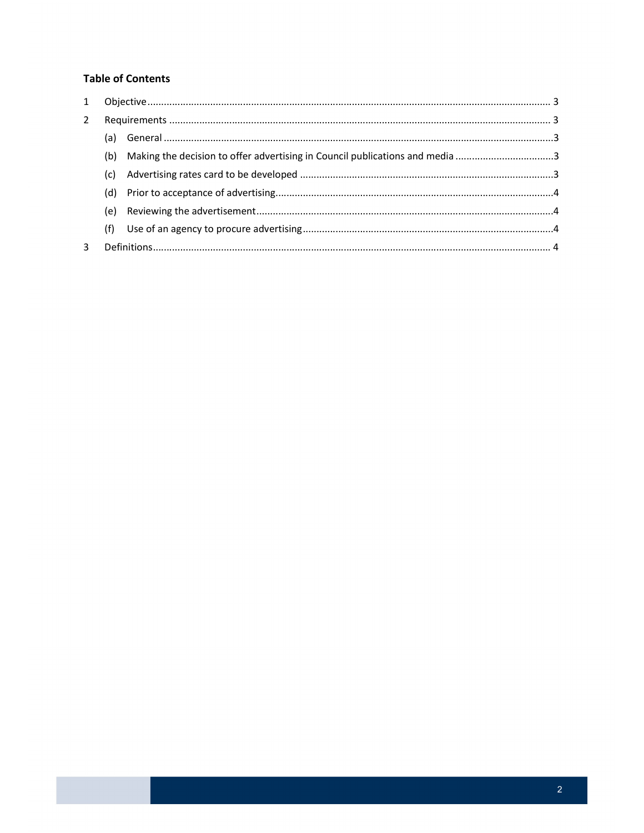# **Table of Contents**

| $\mathbf{2}$ |     |                                                                              |  |
|--------------|-----|------------------------------------------------------------------------------|--|
|              |     |                                                                              |  |
|              | (b) | Making the decision to offer advertising in Council publications and media 3 |  |
|              | (c) |                                                                              |  |
|              | (d) |                                                                              |  |
|              | (e) |                                                                              |  |
|              | (f) |                                                                              |  |
| 3            |     |                                                                              |  |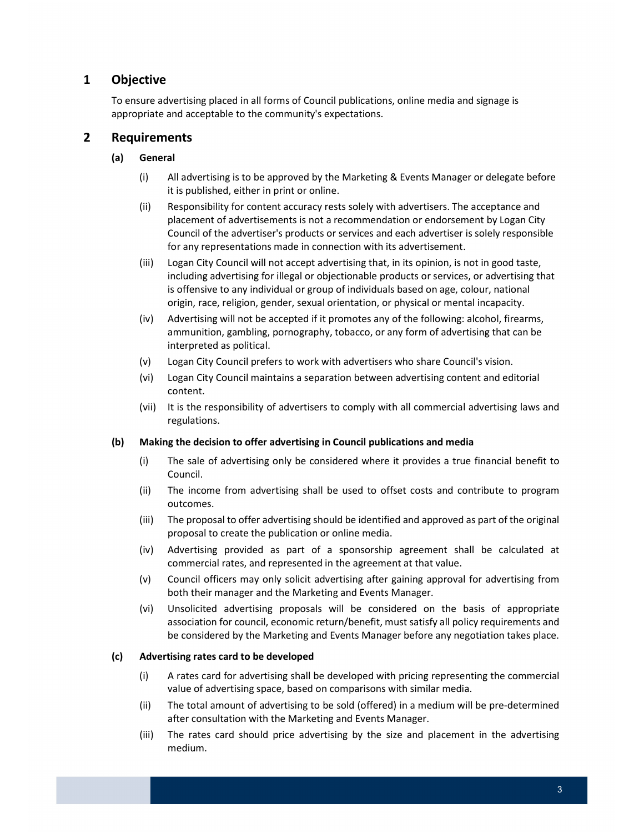# <span id="page-2-0"></span>1 Objective

 To ensure advertising placed in all forms of Council publications, online media and signage is appropriate and acceptable to the community's expectations.

### 2 Requirements

#### (a) General

- (i) All advertising is to be approved by the Marketing & Events Manager or delegate before it is published, either in print or online.
- (ii) Responsibility for content accuracy rests solely with advertisers. The acceptance and placement of advertisements is not a recommendation or endorsement by Logan City Council of the advertiser's products or services and each advertiser is solely responsible for any representations made in connection with its advertisement.
- (iii) Logan City Council will not accept advertising that, in its opinion, is not in good taste, including advertising for illegal or objectionable products or services, or advertising that is offensive to any individual or group of individuals based on age, colour, national origin, race, religion, gender, sexual orientation, or physical or mental incapacity.
- (iv) Advertising will not be accepted if it promotes any of the following: alcohol, firearms, ammunition, gambling, pornography, tobacco, or any form of advertising that can be interpreted as political.
- (v) Logan City Council prefers to work with advertisers who share Council's vision.
- (vi) Logan City Council maintains a separation between advertising content and editorial content.
- (vii) It is the responsibility of advertisers to comply with all commercial advertising laws and regulations.

#### (b) Making the decision to offer advertising in Council publications and media

- (i) The sale of advertising only be considered where it provides a true financial benefit to Council.
- (ii) The income from advertising shall be used to offset costs and contribute to program outcomes.
- (iii) The proposal to offer advertising should be identified and approved as part of the original proposal to create the publication or online media.
- (iv) Advertising provided as part of a sponsorship agreement shall be calculated at commercial rates, and represented in the agreement at that value.
- (v) Council officers may only solicit advertising after gaining approval for advertising from both their manager and the Marketing and Events Manager.
- (vi) Unsolicited advertising proposals will be considered on the basis of appropriate association for council, economic return/benefit, must satisfy all policy requirements and be considered by the Marketing and Events Manager before any negotiation takes place.

#### (c) Advertising rates card to be developed

- (i) A rates card for advertising shall be developed with pricing representing the commercial value of advertising space, based on comparisons with similar media.
- (ii) The total amount of advertising to be sold (offered) in a medium will be pre-determined after consultation with the Marketing and Events Manager.
- (iii) The rates card should price advertising by the size and placement in the advertising medium.